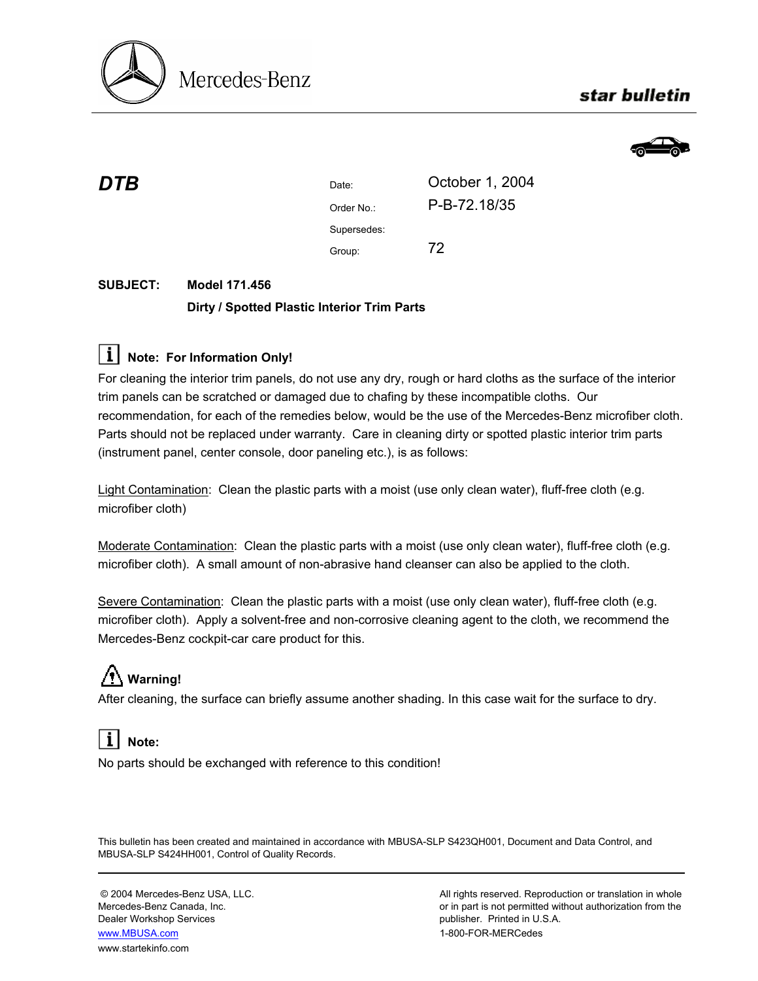

### star bulletin



| DTB | Date:       | October 1, 2004 |
|-----|-------------|-----------------|
|     | Order No.:  | P-B-72.18/35    |
|     | Supersedes: |                 |
|     | Group:      | 72              |
|     |             |                 |

#### **SUBJECT: Model 171.456 Dirty / Spotted Plastic Interior Trim Parts**

### **Note: For Information Only!**

For cleaning the interior trim panels, do not use any dry, rough or hard cloths as the surface of the interior trim panels can be scratched or damaged due to chafing by these incompatible cloths. Our recommendation, for each of the remedies below, would be the use of the Mercedes-Benz microfiber cloth. Parts should not be replaced under warranty. Care in cleaning dirty or spotted plastic interior trim parts (instrument panel, center console, door paneling etc.), is as follows:

Light Contamination: Clean the plastic parts with a moist (use only clean water), fluff-free cloth (e.g. microfiber cloth)

Moderate Contamination: Clean the plastic parts with a moist (use only clean water), fluff-free cloth (e.g. microfiber cloth). A small amount of non-abrasive hand cleanser can also be applied to the cloth.

Severe Contamination: Clean the plastic parts with a moist (use only clean water), fluff-free cloth (e.g. microfiber cloth). Apply a solvent-free and non-corrosive cleaning agent to the cloth, we recommend the Mercedes-Benz cockpit-car care product for this.

## **Warning!**

After cleaning, the surface can briefly assume another shading. In this case wait for the surface to dry.

# **Note:**

No parts should be exchanged with reference to this condition!

This bulletin has been created and maintained in accordance with MBUSA-SLP S423QH001, Document and Data Control, and MBUSA-SLP S424HH001, Control of Quality Records.

Dealer Workshop Services publisher. Printed in U.S.A. www.MBUSA.com 1-800-FOR-MERCedes www.startekinfo.com

© 2004 Mercedes-Benz USA, LLC. All rights reserved. Reproduction or translation in whole Mercedes-Benz Canada, Inc. **or in part is not permitted without authorization from the** or in part is not permitted without authorization from the